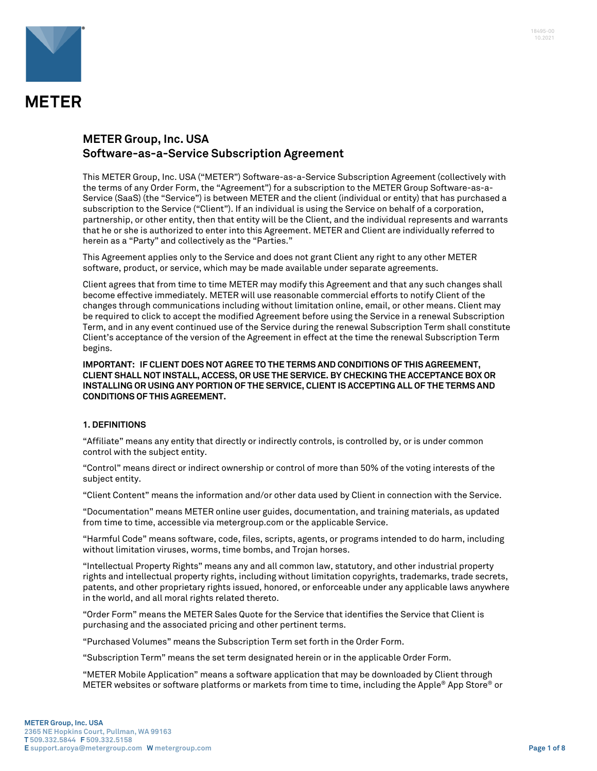

### **METER Group, Inc. USA Software-as-a-Service Subscription Agreement**

This METER Group, Inc. USA ("METER") Software-as-a-Service Subscription Agreement (collectively with the terms of any Order Form, the "Agreement") for a subscription to the METER Group Software-as-a-Service (SaaS) (the "Service") is between METER and the client (individual or entity) that has purchased a subscription to the Service ("Client"). If an individual is using the Service on behalf of a corporation, partnership, or other entity, then that entity will be the Client, and the individual represents and warrants that he or she is authorized to enter into this Agreement. METER and Client are individually referred to herein as a "Party" and collectively as the "Parties."

This Agreement applies only to the Service and does not grant Client any right to any other METER software, product, or service, which may be made available under separate agreements.

Client agrees that from time to time METER may modify this Agreement and that any such changes shall become effective immediately. METER will use reasonable commercial efforts to notify Client of the changes through communications including without limitation online, email, or other means. Client may be required to click to accept the modified Agreement before using the Service in a renewal Subscription Term, and in any event continued use of the Service during the renewal Subscription Term shall constitute Client's acceptance of the version of the Agreement in effect at the time the renewal Subscription Term begins.

**IMPORTANT: IF CLIENT DOES NOT AGREE TO THE TERMS AND CONDITIONS OF THIS AGREEMENT, CLIENT SHALL NOT INSTALL, ACCESS, OR USE THE SERVICE. BY CHECKING THE ACCEPTANCE BOX OR INSTALLING OR USING ANY PORTION OF THE SERVICE, CLIENT IS ACCEPTING ALL OF THE TERMS AND CONDITIONS OF THIS AGREEMENT.**

### **1. DEFINITIONS**

"Affiliate" means any entity that directly or indirectly controls, is controlled by, or is under common control with the subject entity.

"Control" means direct or indirect ownership or control of more than 50% of the voting interests of the subject entity.

"Client Content" means the information and/or other data used by Client in connection with the Service.

"Documentation" means METER online user guides, documentation, and training materials, as updated from time to time, accessible via metergroup.com or the applicable Service.

"Harmful Code" means software, code, files, scripts, agents, or programs intended to do harm, including without limitation viruses, worms, time bombs, and Trojan horses.

"Intellectual Property Rights" means any and all common law, statutory, and other industrial property rights and intellectual property rights, including without limitation copyrights, trademarks, trade secrets, patents, and other proprietary rights issued, honored, or enforceable under any applicable laws anywhere in the world, and all moral rights related thereto.

"Order Form" means the METER Sales Quote for the Service that identifies the Service that Client is purchasing and the associated pricing and other pertinent terms.

"Purchased Volumes" means the Subscription Term set forth in the Order Form.

"Subscription Term" means the set term designated herein or in the applicable Order Form.

"METER Mobile Application" means a software application that may be downloaded by Client through METER websites or software platforms or markets from time to time, including the Apple® App Store® or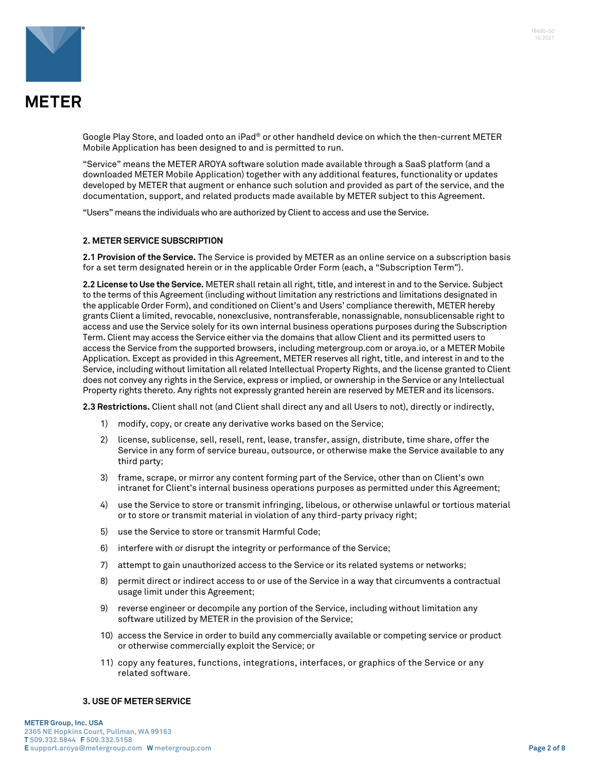



Google Play Store, and loaded onto an iPad® or other handheld device on which the then-current METER Mobile Application has been designed to and is permitted to run.

"Service" means the METER AROYA software solution made available through a SaaS platform (and a downloaded METER Mobile Application) together with any additional features, functionality or updates developed by METER that augment or enhance such solution and provided as part of the service, and the documentation, support, and related products made available by METER subject to this Agreement.

"Users" means the individuals who are authorized by Client to access and use the Service.

#### **2. METER SERVICE SUBSCRIPTION**

**2.1 Provision of the Service.** The Service is provided by METER as an online service on a subscription basis for a set term designated herein or in the applicable Order Form (each, a "Subscription Term").

**2.2 License to Use the Service.** METER shall retain all right, title, and interest in and to the Service. Subject to the terms of this Agreement (including without limitation any restrictions and limitations designated in the applicable Order Form), and conditioned on Client's and Users' compliance therewith, METER hereby grants Client a limited, revocable, nonexclusive, nontransferable, nonassignable, nonsublicensable right to access and use the Service solely for its own internal business operations purposes during the Subscription Term. Client may access the Service either via the domains that allow Client and its permitted users to access the Service from the supported browsers, including metergroup.com or aroya.io, or a METER Mobile Application. Except as provided in this Agreement, METER reserves all right, title, and interest in and to the Service, including without limitation all related Intellectual Property Rights, and the license granted to Client does not convey any rights in the Service, express or implied, or ownership in the Service or any Intellectual Property rights thereto. Any rights not expressly granted herein are reserved by METER and its licensors.

**2.3 Restrictions.** Client shall not (and Client shall direct any and all Users to not), directly or indirectly,

- 1) modify, copy, or create any derivative works based on the Service;
- 2) license, sublicense, sell, resell, rent, lease, transfer, assign, distribute, time share, offer the Service in any form of service bureau, outsource, or otherwise make the Service available to any third party;
- 3) frame, scrape, or mirror any content forming part of the Service, other than on Client's own intranet for Client's internal business operations purposes as permitted under this Agreement;
- 4) use the Service to store or transmit infringing, libelous, or otherwise unlawful or tortious material or to store or transmit material in violation of any third-party privacy right;
- 5) use the Service to store or transmit Harmful Code;
- 6) interfere with or disrupt the integrity or performance of the Service;
- 7) attempt to gain unauthorized access to the Service or its related systems or networks;
- 8) permit direct or indirect access to or use of the Service in a way that circumvents a contractual usage limit under this Agreement;
- 9) reverse engineer or decompile any portion of the Service, including without limitation any software utilized by METER in the provision of the Service;
- 10) access the Service in order to build any commercially available or competing service or product or otherwise commercially exploit the Service; or
- 11) copy any features, functions, integrations, interfaces, or graphics of the Service or any related software.

#### **3. USE OF METER SERVICE**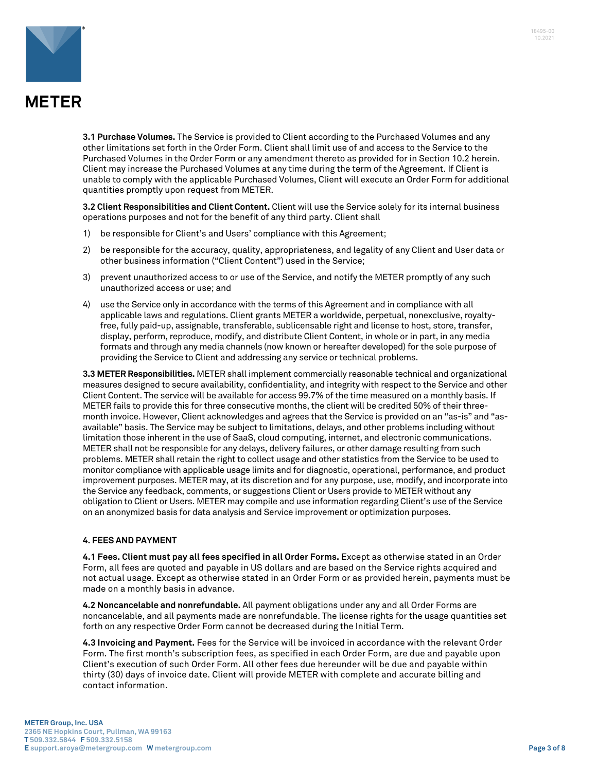

**3.1 Purchase Volumes.** The Service is provided to Client according to the Purchased Volumes and any other limitations set forth in the Order Form. Client shall limit use of and access to the Service to the Purchased Volumes in the Order Form or any amendment thereto as provided for in Section 10.2 herein. Client may increase the Purchased Volumes at any time during the term of the Agreement. If Client is unable to comply with the applicable Purchased Volumes, Client will execute an Order Form for additional quantities promptly upon request from METER.

**3.2 Client Responsibilities and Client Content.** Client will use the Service solely for its internal business operations purposes and not for the benefit of any third party. Client shall

- 1) be responsible for Client's and Users' compliance with this Agreement;
- 2) be responsible for the accuracy, quality, appropriateness, and legality of any Client and User data or other business information ("Client Content") used in the Service;
- 3) prevent unauthorized access to or use of the Service, and notify the METER promptly of any such unauthorized access or use; and
- 4) use the Service only in accordance with the terms of this Agreement and in compliance with all applicable laws and regulations. Client grants METER a worldwide, perpetual, nonexclusive, royaltyfree, fully paid-up, assignable, transferable, sublicensable right and license to host, store, transfer, display, perform, reproduce, modify, and distribute Client Content, in whole or in part, in any media formats and through any media channels (now known or hereafter developed) for the sole purpose of providing the Service to Client and addressing any service or technical problems.

**3.3 METER Responsibilities.** METER shall implement commercially reasonable technical and organizational measures designed to secure availability, confidentiality, and integrity with respect to the Service and other Client Content. The service will be available for access 99.7% of the time measured on a monthly basis. If METER fails to provide this for three consecutive months, the client will be credited 50% of their threemonth invoice. However, Client acknowledges and agrees that the Service is provided on an "as-is" and "asavailable" basis. The Service may be subject to limitations, delays, and other problems including without limitation those inherent in the use of SaaS, cloud computing, internet, and electronic communications. METER shall not be responsible for any delays, delivery failures, or other damage resulting from such problems. METER shall retain the right to collect usage and other statistics from the Service to be used to monitor compliance with applicable usage limits and for diagnostic, operational, performance, and product improvement purposes. METER may, at its discretion and for any purpose, use, modify, and incorporate into the Service any feedback, comments, or suggestions Client or Users provide to METER without any obligation to Client or Users. METER may compile and use information regarding Client's use of the Service on an anonymized basis for data analysis and Service improvement or optimization purposes.

### **4. FEES AND PAYMENT**

**4.1 Fees. Client must pay all fees specified in all Order Forms.** Except as otherwise stated in an Order Form, all fees are quoted and payable in US dollars and are based on the Service rights acquired and not actual usage. Except as otherwise stated in an Order Form or as provided herein, payments must be made on a monthly basis in advance.

**4.2 Noncancelable and nonrefundable.** All payment obligations under any and all Order Forms are noncancelable, and all payments made are nonrefundable. The license rights for the usage quantities set forth on any respective Order Form cannot be decreased during the Initial Term.

**4.3 Invoicing and Payment.** Fees for the Service will be invoiced in accordance with the relevant Order Form. The first month's subscription fees, as specified in each Order Form, are due and payable upon Client's execution of such Order Form. All other fees due hereunder will be due and payable within thirty (30) days of invoice date. Client will provide METER with complete and accurate billing and contact information.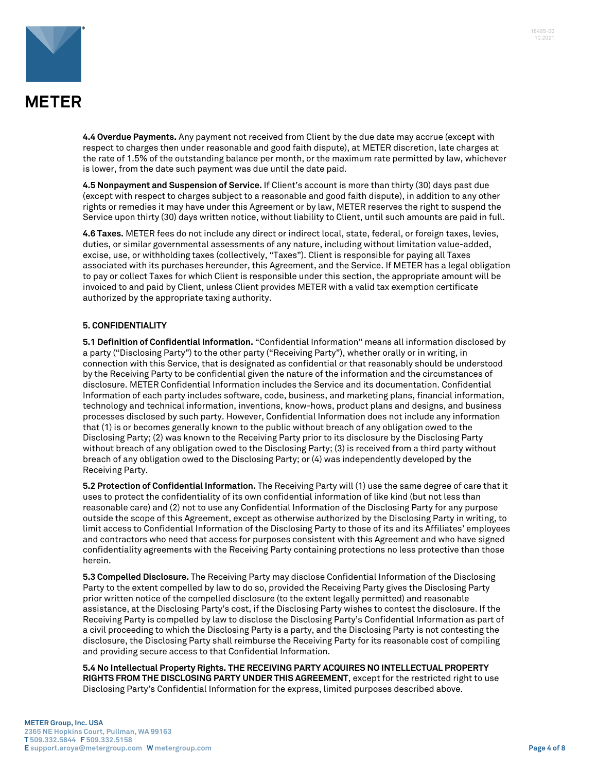



**4.4 Overdue Payments.** Any payment not received from Client by the due date may accrue (except with respect to charges then under reasonable and good faith dispute), at METER discretion, late charges at the rate of 1.5% of the outstanding balance per month, or the maximum rate permitted by law, whichever is lower, from the date such payment was due until the date paid.

**4.5 Nonpayment and Suspension of Service.** If Client's account is more than thirty (30) days past due (except with respect to charges subject to a reasonable and good faith dispute), in addition to any other rights or remedies it may have under this Agreement or by law, METER reserves the right to suspend the Service upon thirty (30) days written notice, without liability to Client, until such amounts are paid in full.

**4.6 Taxes.** METER fees do not include any direct or indirect local, state, federal, or foreign taxes, levies, duties, or similar governmental assessments of any nature, including without limitation value-added, excise, use, or withholding taxes (collectively, "Taxes"). Client is responsible for paying all Taxes associated with its purchases hereunder, this Agreement, and the Service. If METER has a legal obligation to pay or collect Taxes for which Client is responsible under this section, the appropriate amount will be invoiced to and paid by Client, unless Client provides METER with a valid tax exemption certificate authorized by the appropriate taxing authority.

### **5. CONFIDENTIALITY**

**5.1 Definition of Confidential Information.** "Confidential Information" means all information disclosed by a party ("Disclosing Party") to the other party ("Receiving Party"), whether orally or in writing, in connection with this Service, that is designated as confidential or that reasonably should be understood by the Receiving Party to be confidential given the nature of the information and the circumstances of disclosure. METER Confidential Information includes the Service and its documentation. Confidential Information of each party includes software, code, business, and marketing plans, financial information, technology and technical information, inventions, know-hows, product plans and designs, and business processes disclosed by such party. However, Confidential Information does not include any information that (1) is or becomes generally known to the public without breach of any obligation owed to the Disclosing Party; (2) was known to the Receiving Party prior to its disclosure by the Disclosing Party without breach of any obligation owed to the Disclosing Party; (3) is received from a third party without breach of any obligation owed to the Disclosing Party; or (4) was independently developed by the Receiving Party.

**5.2 Protection of Confidential Information.** The Receiving Party will (1) use the same degree of care that it uses to protect the confidentiality of its own confidential information of like kind (but not less than reasonable care) and (2) not to use any Confidential Information of the Disclosing Party for any purpose outside the scope of this Agreement, except as otherwise authorized by the Disclosing Party in writing, to limit access to Confidential Information of the Disclosing Party to those of its and its Affiliates' employees and contractors who need that access for purposes consistent with this Agreement and who have signed confidentiality agreements with the Receiving Party containing protections no less protective than those herein.

**5.3 Compelled Disclosure.** The Receiving Party may disclose Confidential Information of the Disclosing Party to the extent compelled by law to do so, provided the Receiving Party gives the Disclosing Party prior written notice of the compelled disclosure (to the extent legally permitted) and reasonable assistance, at the Disclosing Party's cost, if the Disclosing Party wishes to contest the disclosure. If the Receiving Party is compelled by law to disclose the Disclosing Party's Confidential Information as part of a civil proceeding to which the Disclosing Party is a party, and the Disclosing Party is not contesting the disclosure, the Disclosing Party shall reimburse the Receiving Party for its reasonable cost of compiling and providing secure access to that Confidential Information.

**5.4 No Intellectual Property Rights. THE RECEIVING PARTY ACQUIRES NO INTELLECTUAL PROPERTY RIGHTS FROM THE DISCLOSING PARTY UNDER THIS AGREEMENT**, except for the restricted right to use Disclosing Party's Confidential Information for the express, limited purposes described above.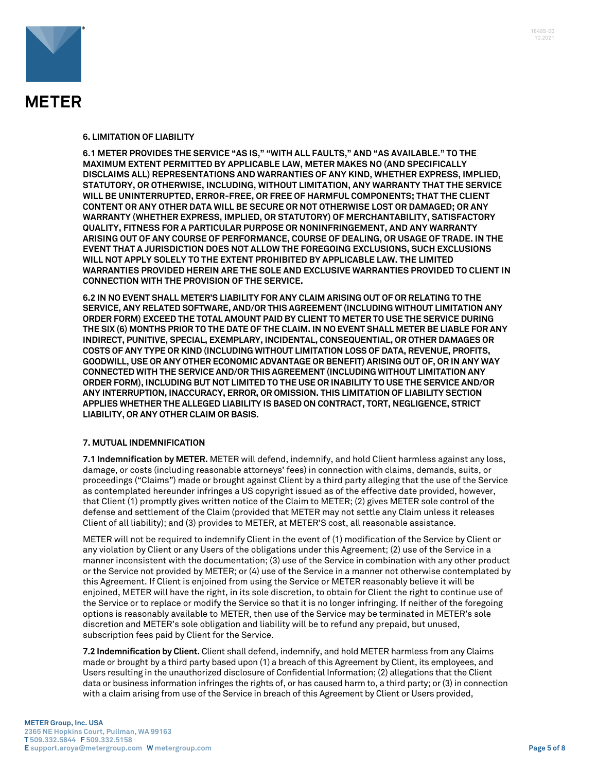

#### **6. LIMITATION OF LIABILITY**

**6.1 METER PROVIDES THE SERVICE "AS IS," "WITH ALL FAULTS," AND "AS AVAILABLE." TO THE MAXIMUM EXTENT PERMITTED BY APPLICABLE LAW, METER MAKES NO (AND SPECIFICALLY DISCLAIMS ALL) REPRESENTATIONS AND WARRANTIES OF ANY KIND, WHETHER EXPRESS, IMPLIED, STATUTORY, OR OTHERWISE, INCLUDING, WITHOUT LIMITATION, ANY WARRANTY THAT THE SERVICE WILL BE UNINTERRUPTED, ERROR-FREE, OR FREE OF HARMFUL COMPONENTS; THAT THE CLIENT CONTENT OR ANY OTHER DATA WILL BE SECURE OR NOT OTHERWISE LOST OR DAMAGED; OR ANY WARRANTY (WHETHER EXPRESS, IMPLIED, OR STATUTORY) OF MERCHANTABILITY, SATISFACTORY QUALITY, FITNESS FOR A PARTICULAR PURPOSE OR NONINFRINGEMENT, AND ANY WARRANTY ARISING OUT OF ANY COURSE OF PERFORMANCE, COURSE OF DEALING, OR USAGE OF TRADE. IN THE EVENT THAT A JURISDICTION DOES NOT ALLOW THE FOREGOING EXCLUSIONS, SUCH EXCLUSIONS WILL NOT APPLY SOLELY TO THE EXTENT PROHIBITED BY APPLICABLE LAW. THE LIMITED WARRANTIES PROVIDED HEREIN ARE THE SOLE AND EXCLUSIVE WARRANTIES PROVIDED TO CLIENT IN CONNECTION WITH THE PROVISION OF THE SERVICE.** 

**6.2 IN NO EVENT SHALL METER'S LIABILITY FOR ANY CLAIM ARISING OUT OF OR RELATING TO THE SERVICE, ANY RELATED SOFTWARE, AND/OR THIS AGREEMENT (INCLUDING WITHOUT LIMITATION ANY ORDER FORM) EXCEED THE TOTAL AMOUNT PAID BY CLIENT TO METER TO USE THE SERVICE DURING THE SIX (6) MONTHS PRIOR TO THE DATE OF THE CLAIM. IN NO EVENT SHALL METER BE LIABLE FOR ANY INDIRECT, PUNITIVE, SPECIAL, EXEMPLARY, INCIDENTAL, CONSEQUENTIAL, OR OTHER DAMAGES OR COSTS OF ANY TYPE OR KIND (INCLUDING WITHOUT LIMITATION LOSS OF DATA, REVENUE, PROFITS, GOODWILL, USE OR ANY OTHER ECONOMIC ADVANTAGE OR BENEFIT) ARISING OUT OF, OR IN ANY WAY CONNECTED WITH THE SERVICE AND/OR THIS AGREEMENT (INCLUDING WITHOUT LIMITATION ANY ORDER FORM), INCLUDING BUT NOT LIMITED TO THE USE OR INABILITY TO USE THE SERVICE AND/OR ANY INTERRUPTION, INACCURACY, ERROR, OR OMISSION. THIS LIMITATION OF LIABILITY SECTION APPLIES WHETHER THE ALLEGED LIABILITY IS BASED ON CONTRACT, TORT, NEGLIGENCE, STRICT LIABILITY, OR ANY OTHER CLAIM OR BASIS.** 

#### **7. MUTUAL INDEMNIFICATION**

**7.1 Indemnification by METER.** METER will defend, indemnify, and hold Client harmless against any loss, damage, or costs (including reasonable attorneys' fees) in connection with claims, demands, suits, or proceedings ("Claims") made or brought against Client by a third party alleging that the use of the Service as contemplated hereunder infringes a US copyright issued as of the effective date provided, however, that Client (1) promptly gives written notice of the Claim to METER; (2) gives METER sole control of the defense and settlement of the Claim (provided that METER may not settle any Claim unless it releases Client of all liability); and (3) provides to METER, at METER'S cost, all reasonable assistance.

METER will not be required to indemnify Client in the event of (1) modification of the Service by Client or any violation by Client or any Users of the obligations under this Agreement; (2) use of the Service in a manner inconsistent with the documentation; (3) use of the Service in combination with any other product or the Service not provided by METER; or (4) use of the Service in a manner not otherwise contemplated by this Agreement. If Client is enjoined from using the Service or METER reasonably believe it will be enjoined, METER will have the right, in its sole discretion, to obtain for Client the right to continue use of the Service or to replace or modify the Service so that it is no longer infringing. If neither of the foregoing options is reasonably available to METER, then use of the Service may be terminated in METER's sole discretion and METER's sole obligation and liability will be to refund any prepaid, but unused, subscription fees paid by Client for the Service.

**7.2 Indemnification by Client.** Client shall defend, indemnify, and hold METER harmless from any Claims made or brought by a third party based upon (1) a breach of this Agreement by Client, its employees, and Users resulting in the unauthorized disclosure of Confidential Information; (2) allegations that the Client data or business information infringes the rights of, or has caused harm to, a third party; or (3) in connection with a claim arising from use of the Service in breach of this Agreement by Client or Users provided,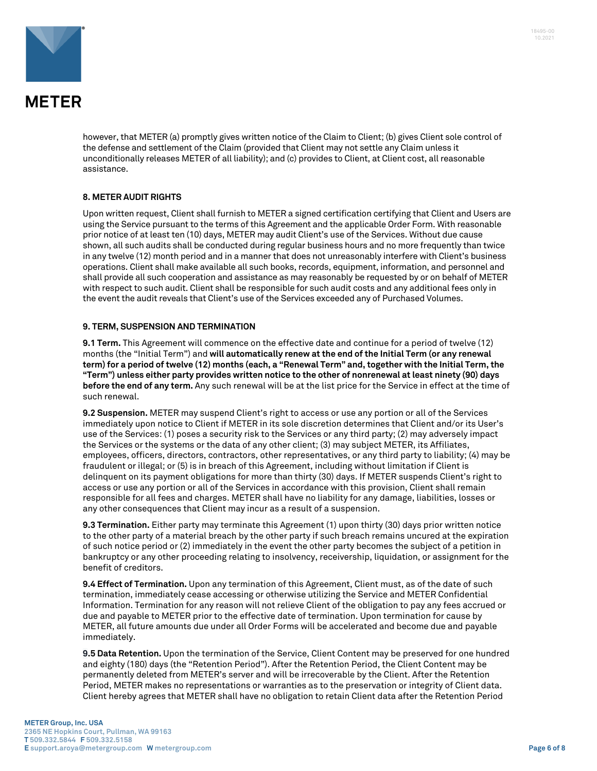

however, that METER (a) promptly gives written notice of the Claim to Client; (b) gives Client sole control of the defense and settlement of the Claim (provided that Client may not settle any Claim unless it unconditionally releases METER of all liability); and (c) provides to Client, at Client cost, all reasonable assistance.

### **8. METER AUDIT RIGHTS**

Upon written request, Client shall furnish to METER a signed certification certifying that Client and Users are using the Service pursuant to the terms of this Agreement and the applicable Order Form. With reasonable prior notice of at least ten (10) days, METER may audit Client's use of the Services. Without due cause shown, all such audits shall be conducted during regular business hours and no more frequently than twice in any twelve (12) month period and in a manner that does not unreasonably interfere with Client's business operations. Client shall make available all such books, records, equipment, information, and personnel and shall provide all such cooperation and assistance as may reasonably be requested by or on behalf of METER with respect to such audit. Client shall be responsible for such audit costs and any additional fees only in the event the audit reveals that Client's use of the Services exceeded any of Purchased Volumes.

### **9. TERM, SUSPENSION AND TERMINATION**

**9.1 Term.** This Agreement will commence on the effective date and continue for a period of twelve (12) months (the "Initial Term") and **will automatically renew at the end of the Initial Term (or any renewal term) for a period of twelve (12) months (each, a "Renewal Term" and, together with the Initial Term, the "Term") unless either party provides written notice to the other of nonrenewal at least ninety (90) days before the end of any term.** Any such renewal will be at the list price for the Service in effect at the time of such renewal.

**9.2 Suspension.** METER may suspend Client's right to access or use any portion or all of the Services immediately upon notice to Client if METER in its sole discretion determines that Client and/or its User's use of the Services: (1) poses a security risk to the Services or any third party; (2) may adversely impact the Services or the systems or the data of any other client; (3) may subject METER, its Affiliates, employees, officers, directors, contractors, other representatives, or any third party to liability; (4) may be fraudulent or illegal; or (5) is in breach of this Agreement, including without limitation if Client is delinquent on its payment obligations for more than thirty (30) days. If METER suspends Client's right to access or use any portion or all of the Services in accordance with this provision, Client shall remain responsible for all fees and charges. METER shall have no liability for any damage, liabilities, losses or any other consequences that Client may incur as a result of a suspension.

**9.3 Termination.** Either party may terminate this Agreement (1) upon thirty (30) days prior written notice to the other party of a material breach by the other party if such breach remains uncured at the expiration of such notice period or (2) immediately in the event the other party becomes the subject of a petition in bankruptcy or any other proceeding relating to insolvency, receivership, liquidation, or assignment for the benefit of creditors.

**9.4 Effect of Termination.** Upon any termination of this Agreement, Client must, as of the date of such termination, immediately cease accessing or otherwise utilizing the Service and METER Confidential Information. Termination for any reason will not relieve Client of the obligation to pay any fees accrued or due and payable to METER prior to the effective date of termination. Upon termination for cause by METER, all future amounts due under all Order Forms will be accelerated and become due and payable immediately.

**9.5 Data Retention.** Upon the termination of the Service, Client Content may be preserved for one hundred and eighty (180) days (the "Retention Period"). After the Retention Period, the Client Content may be permanently deleted from METER's server and will be irrecoverable by the Client. After the Retention Period, METER makes no representations or warranties as to the preservation or integrity of Client data. Client hereby agrees that METER shall have no obligation to retain Client data after the Retention Period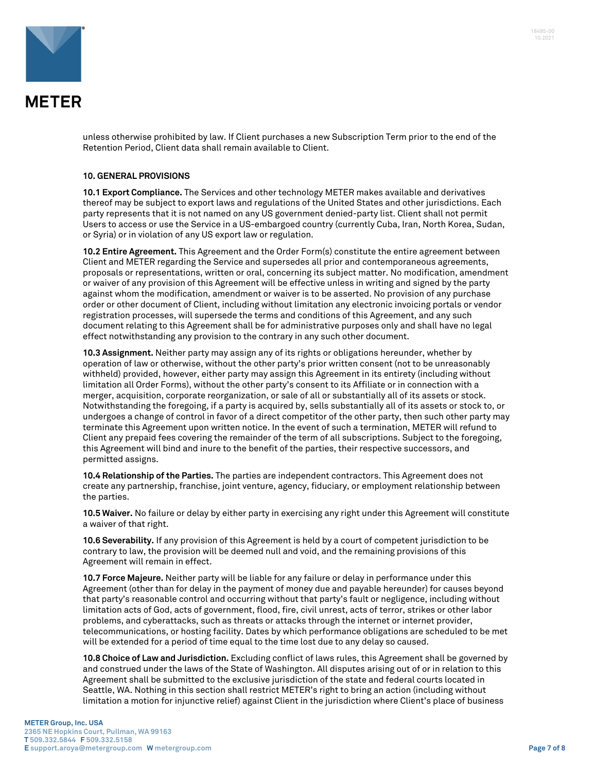

unless otherwise prohibited by law. If Client purchases a new Subscription Term prior to the end of the Retention Period, Client data shall remain available to Client.

#### **10. GENERAL PROVISIONS**

**10.1 Export Compliance.** The Services and other technology METER makes available and derivatives thereof may be subject to export laws and regulations of the United States and other jurisdictions. Each party represents that it is not named on any US government denied-party list. Client shall not permit Users to access or use the Service in a US-embargoed country (currently Cuba, Iran, North Korea, Sudan, or Syria) or in violation of any US export law or regulation.

**10.2 Entire Agreement.** This Agreement and the Order Form(s) constitute the entire agreement between Client and METER regarding the Service and supersedes all prior and contemporaneous agreements, proposals or representations, written or oral, concerning its subject matter. No modification, amendment or waiver of any provision of this Agreement will be effective unless in writing and signed by the party against whom the modification, amendment or waiver is to be asserted. No provision of any purchase order or other document of Client, including without limitation any electronic invoicing portals or vendor registration processes, will supersede the terms and conditions of this Agreement, and any such document relating to this Agreement shall be for administrative purposes only and shall have no legal effect notwithstanding any provision to the contrary in any such other document.

**10.3 Assignment.** Neither party may assign any of its rights or obligations hereunder, whether by operation of law or otherwise, without the other party's prior written consent (not to be unreasonably withheld) provided, however, either party may assign this Agreement in its entirety (including without limitation all Order Forms), without the other party's consent to its Affiliate or in connection with a merger, acquisition, corporate reorganization, or sale of all or substantially all of its assets or stock. Notwithstanding the foregoing, if a party is acquired by, sells substantially all of its assets or stock to, or undergoes a change of control in favor of a direct competitor of the other party, then such other party may terminate this Agreement upon written notice. In the event of such a termination, METER will refund to Client any prepaid fees covering the remainder of the term of all subscriptions. Subject to the foregoing, this Agreement will bind and inure to the benefit of the parties, their respective successors, and permitted assigns.

**10.4 Relationship of the Parties.** The parties are independent contractors. This Agreement does not create any partnership, franchise, joint venture, agency, fiduciary, or employment relationship between the parties.

**10.5 Waiver.** No failure or delay by either party in exercising any right under this Agreement will constitute a waiver of that right.

**10.6 Severability.** If any provision of this Agreement is held by a court of competent jurisdiction to be contrary to law, the provision will be deemed null and void, and the remaining provisions of this Agreement will remain in effect.

**10.7 Force Majeure.** Neither party will be liable for any failure or delay in performance under this Agreement (other than for delay in the payment of money due and payable hereunder) for causes beyond that party's reasonable control and occurring without that party's fault or negligence, including without limitation acts of God, acts of government, flood, fire, civil unrest, acts of terror, strikes or other labor problems, and cyberattacks, such as threats or attacks through the internet or internet provider, telecommunications, or hosting facility. Dates by which performance obligations are scheduled to be met will be extended for a period of time equal to the time lost due to any delay so caused.

**10.8 Choice of Law and Jurisdiction.** Excluding conflict of laws rules, this Agreement shall be governed by and construed under the laws of the State of Washington. All disputes arising out of or in relation to this Agreement shall be submitted to the exclusive jurisdiction of the state and federal courts located in Seattle, WA. Nothing in this section shall restrict METER's right to bring an action (including without limitation a motion for injunctive relief) against Client in the jurisdiction where Client's place of business